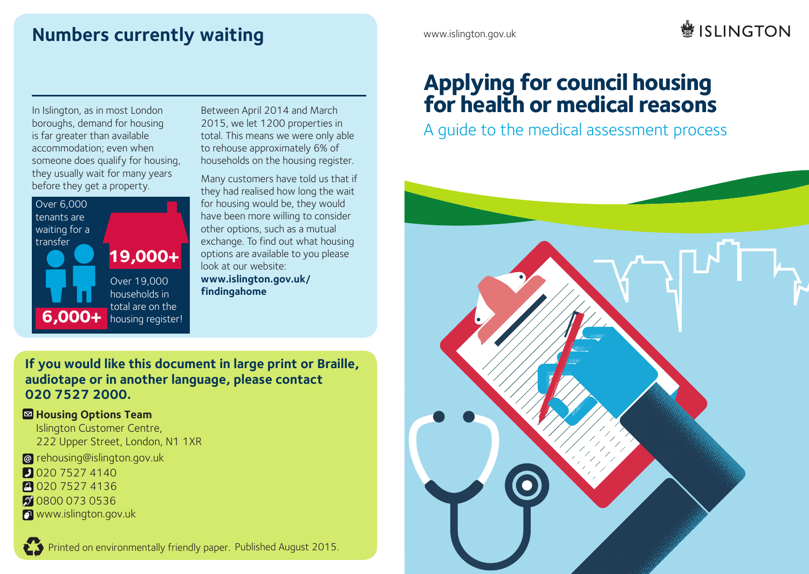## **Numbers currently waiting DQRWKHUODQJXDJHRUUHDGLQJIRUPDW**

www.islington.gov.uk

# **鬱ISIINGTON**

In Islington, as in most London boroughs, demand for housing is far greater than available *6HSUHWAGHUHW* total. T accommodation; even when someone does qualify for housing, they usually wait for many years before they get a property. **1** 



Between April 2014 and March 2015, we let 1200 properties in total. This means we were only able to rehouse approximately 6% of households on the housing register.

Many customers have told us that if they had realised how long the wait for housing would be, they would have been more willing to consider other options, such as a mutual options are available to you please look at our website: **www.islington.gov.uk/ findingahome**

## **If you would like this document in large print or Braille,** *6LGHVHDHVWDLQIRUPDFLÎQHQVXLGLRPDOODPHDO* **audiotape or in another language, please contact 020 7527 2000.**

### **E** Housing Options Team

*Jslington Customer Centre,* 222 Upper Street, London, N1 1XR

- *@ rehousing@islington.gov.uk*
- **D** 020 7527 4140
- **1020 7527 4136**
- 2 0800 073 0536
- *Z* www.islington.gov.uk

## **Applying for council housing for health or medical reasons**

A guide to the medical assessment process